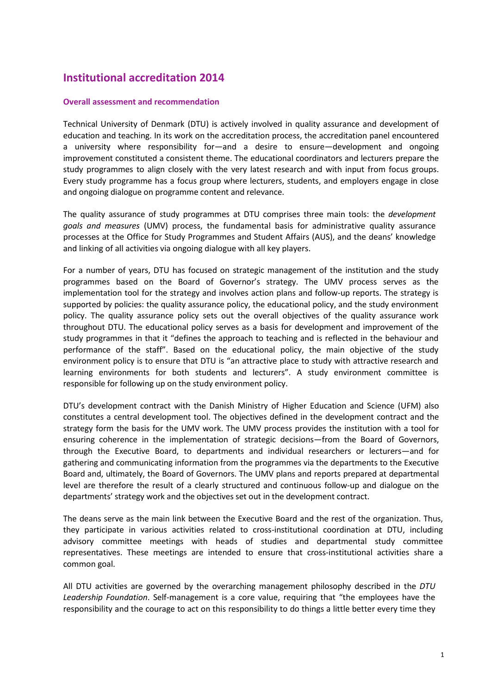## **Institutional accreditation 2014**

## **Overall assessment and recommendation**

Technical University of Denmark (DTU) is actively involved in quality assurance and development of education and teaching. In its work on the accreditation process, the accreditation panel encountered a university where responsibility for—and a desire to ensure—development and ongoing improvement constituted a consistent theme. The educational coordinators and lecturers prepare the study programmes to align closely with the very latest research and with input from focus groups. Every study programme has a focus group where lecturers, students, and employers engage in close and ongoing dialogue on programme content and relevance.

The quality assurance of study programmes at DTU comprises three main tools: the *development goals and measures* (UMV) process, the fundamental basis for administrative quality assurance processes at the Office for Study Programmes and Student Affairs (AUS), and the deans' knowledge and linking of all activities via ongoing dialogue with all key players.

For a number of years, DTU has focused on strategic management of the institution and the study programmes based on the Board of Governor's strategy. The UMV process serves as the implementation tool for the strategy and involves action plans and follow-up reports. The strategy is supported by policies: the quality assurance policy, the educational policy, and the study environment policy. The quality assurance policy sets out the overall objectives of the quality assurance work throughout DTU. The educational policy serves as a basis for development and improvement of the study programmes in that it "defines the approach to teaching and is reflected in the behaviour and performance of the staff". Based on the educational policy, the main objective of the study environment policy is to ensure that DTU is "an attractive place to study with attractive research and learning environments for both students and lecturers". A study environment committee is responsible for following up on the study environment policy.

DTU's development contract with the Danish Ministry of Higher Education and Science (UFM) also constitutes a central development tool. The objectives defined in the development contract and the strategy form the basis for the UMV work. The UMV process provides the institution with a tool for ensuring coherence in the implementation of strategic decisions—from the Board of Governors, through the Executive Board, to departments and individual researchers or lecturers—and for gathering and communicating information from the programmes via the departments to the Executive Board and, ultimately, the Board of Governors. The UMV plans and reports prepared at departmental level are therefore the result of a clearly structured and continuous follow-up and dialogue on the departments' strategy work and the objectives set out in the development contract.

The deans serve as the main link between the Executive Board and the rest of the organization. Thus, they participate in various activities related to cross-institutional coordination at DTU, including advisory committee meetings with heads of studies and departmental study committee representatives. These meetings are intended to ensure that cross-institutional activities share a common goal.

All DTU activities are governed by the overarching management philosophy described in the *DTU Leadership Foundation*. Self-management is a core value, requiring that "the employees have the responsibility and the courage to act on this responsibility to do things a little better every time they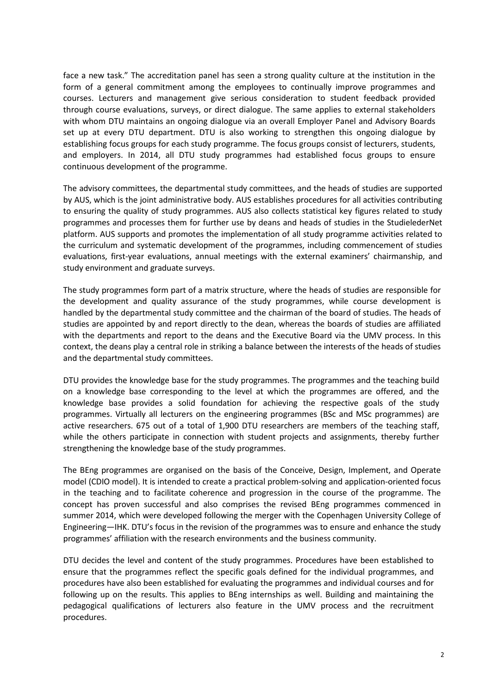face a new task." The accreditation panel has seen a strong quality culture at the institution in the form of a general commitment among the employees to continually improve programmes and courses. Lecturers and management give serious consideration to student feedback provided through course evaluations, surveys, or direct dialogue. The same applies to external stakeholders with whom DTU maintains an ongoing dialogue via an overall Employer Panel and Advisory Boards set up at every DTU department. DTU is also working to strengthen this ongoing dialogue by establishing focus groups for each study programme. The focus groups consist of lecturers, students, and employers. In 2014, all DTU study programmes had established focus groups to ensure continuous development of the programme.

The advisory committees, the departmental study committees, and the heads of studies are supported by AUS, which is the joint administrative body. AUS establishes procedures for all activities contributing to ensuring the quality of study programmes. AUS also collects statistical key figures related to study programmes and processes them for further use by deans and heads of studies in the StudielederNet platform. AUS supports and promotes the implementation of all study programme activities related to the curriculum and systematic development of the programmes, including commencement of studies evaluations, first-year evaluations, annual meetings with the external examiners' chairmanship, and study environment and graduate surveys.

The study programmes form part of a matrix structure, where the heads of studies are responsible for the development and quality assurance of the study programmes, while course development is handled by the departmental study committee and the chairman of the board of studies. The heads of studies are appointed by and report directly to the dean, whereas the boards of studies are affiliated with the departments and report to the deans and the Executive Board via the UMV process. In this context, the deans play a central role in striking a balance between the interests of the heads of studies and the departmental study committees.

DTU provides the knowledge base for the study programmes. The programmes and the teaching build on a knowledge base corresponding to the level at which the programmes are offered, and the knowledge base provides a solid foundation for achieving the respective goals of the study programmes. Virtually all lecturers on the engineering programmes (BSc and MSc programmes) are active researchers. 675 out of a total of 1,900 DTU researchers are members of the teaching staff, while the others participate in connection with student projects and assignments, thereby further strengthening the knowledge base of the study programmes.

The BEng programmes are organised on the basis of the Conceive, Design, Implement, and Operate model (CDIO model). It is intended to create a practical problem-solving and application-oriented focus in the teaching and to facilitate coherence and progression in the course of the programme. The concept has proven successful and also comprises the revised BEng programmes commenced in summer 2014, which were developed following the merger with the Copenhagen University College of Engineering—IHK. DTU's focus in the revision of the programmes was to ensure and enhance the study programmes' affiliation with the research environments and the business community.

DTU decides the level and content of the study programmes. Procedures have been established to ensure that the programmes reflect the specific goals defined for the individual programmes, and procedures have also been established for evaluating the programmes and individual courses and for following up on the results. This applies to BEng internships as well. Building and maintaining the pedagogical qualifications of lecturers also feature in the UMV process and the recruitment procedures.